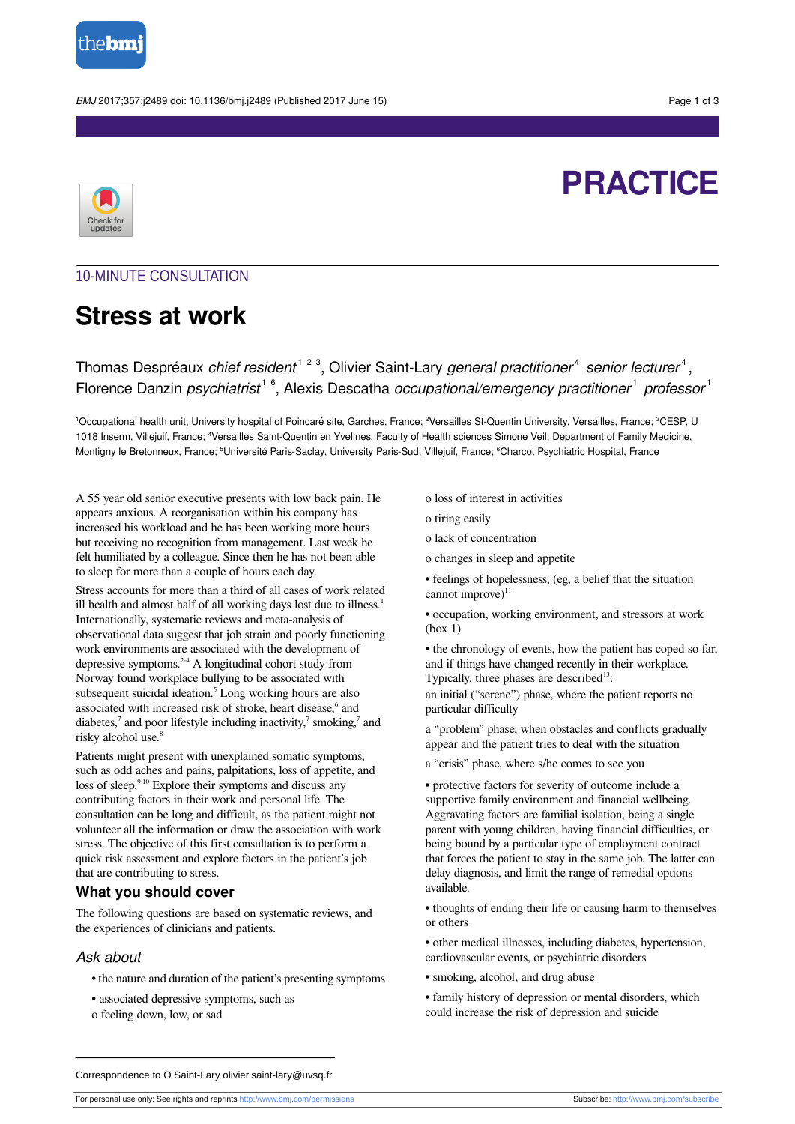

BMJ 2017;357:j2489 doi: 10.1136/bmj.j2489 (Published 2017 June 15) example to the state of 3

**PRACTICE**



## 10-MINUTE CONSULTATION

# **Stress at work**

# Thomas Despréaux *chief resident<sup>123</sup>*, Olivier Saint-Lary *general practitioner<sup>4</sup> senior lecturer<sup>4</sup>,* Florence Danzin *psychiatrist*<sup>16</sup>, Alexis Descatha occupational/emergency practitioner<sup>1</sup> professor<sup>1</sup>

<sup>1</sup>Occupational health unit, University hospital of Poincaré site, Garches, France; <sup>2</sup>Versailles St-Quentin University, Versailles, France; <sup>3</sup>CESP, U 1018 Inserm, Villejuif, France; <sup>4</sup>Versailles Saint-Quentin en Yvelines, Faculty of Health sciences Simone Veil, Department of Family Medicine, Montigny le Bretonneux, France; <sup>5</sup>Université Paris-Saclay, University Paris-Sud, Villejuif, France; <sup>6</sup>Charcot Psychiatric Hospital, France

A 55 year old senior executive presents with low back pain. He appears anxious. A reorganisation within his company has increased his workload and he has been working more hours but receiving no recognition from management. Last week he felt humiliated by a colleague. Since then he has not been able to sleep for more than a couple of hours each day.

Stress accounts for more than a third of all cases of work related ill health and almost half of all working days lost due to illness.<sup>1</sup> Internationally, systematic reviews and meta-analysis of observational data suggest that job strain and poorly functioning work environments are associated with the development of depressive symptoms. 2-4 A longitudinal cohort study from Norway found workplace bullying to be associated with subsequent suicidal ideation. 5 Long working hours are also associated with increased risk of stroke, heart disease, and diabetes,<sup>7</sup> and poor lifestyle including inactivity,<sup>7</sup> smoking,<sup>7</sup> and risky alcohol use. 8

Patients might present with unexplained somatic symptoms, such as odd aches and pains, palpitations, loss of appetite, and loss of sleep.<sup>910</sup> Explore their symptoms and discuss any contributing factors in their work and personal life. The consultation can be long and difficult, as the patient might not volunteer all the information or draw the association with work stress. The objective of this first consultation is to perform a quick risk assessment and explore factors in the patient's job that are contributing to stress.

## **What you should cover**

The following questions are based on systematic reviews, and the experiences of clinicians and patients.

### Ask about

- the nature and duration of the patient's presenting symptoms
- associated depressive symptoms, such as
- o feeling down, low, or sad

o loss of interest in activities

- o tiring easily
- o lack of concentration
- o changes in sleep and appetite

• feelings of hopelessness, (eg, a belief that the situation cannot improve) $11$ 

• occupation, working environment, and stressors at work (box 1)

• the chronology of events, how the patient has coped so far, and if things have changed recently in their workplace. Typically, three phases are described 13:

an initial ("serene") phase, where the patient reports no particular difficulty

a "problem" phase, when obstacles and conflicts gradually appear and the patient tries to deal with the situation

a "crisis" phase, where s/he comes to see you

• protective factors for severity of outcome include a supportive family environment and financial wellbeing. Aggravating factors are familial isolation, being a single parent with young children, having financial difficulties, or being bound by a particular type of employment contract that forces the patient to stay in the same job. The latter can delay diagnosis, and limit the range of remedial options available.

- thoughts of ending their life or causing harm to themselves or others
- other medical illnesses, including diabetes, hypertension, cardiovascular events, or psychiatric disorders
- smoking, alcohol, and drug abuse
- family history of depression or mental disorders, which could increase the risk of depression and suicide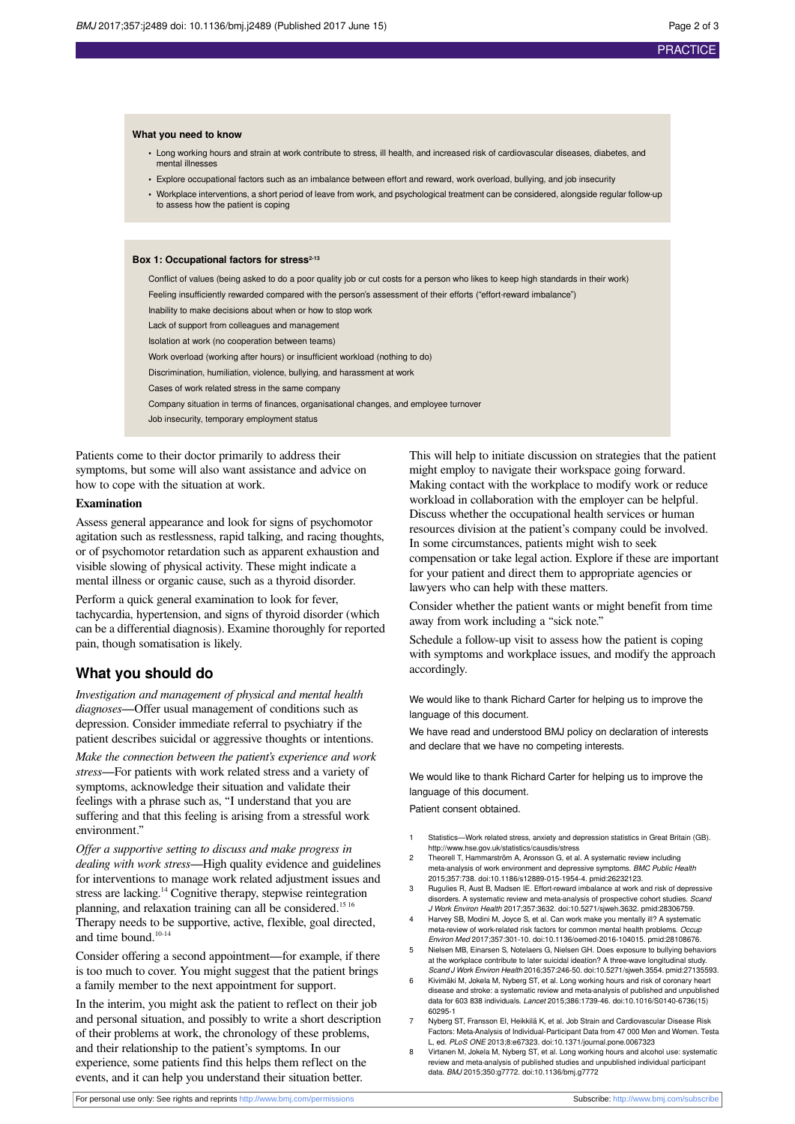#### **What you need to know**

- **•** Long working hours and strain at work contribute to stress, ill health, and increased risk of cardiovascular diseases, diabetes, and mental illnesse
- **•** Explore occupational factors such as an imbalance between effort and reward, work overload, bullying, and job insecurity
- **•** Workplace interventions, a short period of leave from work, and psychological treatment can be considered, alongside regular follow-up to assess how the patient is coping

#### Box 1: Occupational factors for stress<sup>2-13</sup>

Conflict of values (being asked to do a poor quality job or cut costs for a person who likes to keep high standards in their work) Feeling insufficiently rewarded compared with the person's assessment of their efforts ("effort-reward imbalance") Inability to make decisions about when or how to stop work Lack of support from colleagues and management Isolation at work (no cooperation between teams) Work overload (working after hours) or insufficient workload (nothing to do) Discrimination, humiliation, violence, bullying, and harassment at work Cases of work related stress in the same company Company situation in terms of finances, organisational changes, and employee turnover Job insecurity, temporary employment status

Patients come to their doctor primarily to address their symptoms, but some will also want assistance and advice on how to cope with the situation at work.

#### **Examination**

Assess general appearance and look for signs of psychomotor agitation such as restlessness, rapid talking, and racing thoughts, or of psychomotor retardation such as apparent exhaustion and visible slowing of physical activity. These might indicate a mental illness or organic cause, such as a thyroid disorder.

Perform a quick general examination to look for fever, tachycardia, hypertension, and signs of thyroid disorder (which can be a differential diagnosis). Examine thoroughly for reported pain, though somatisation is likely.

#### **What you should do**

*Investigation and management of physical and mental health diagnoses*—Offer usual management of conditions such as depression. Consider immediate referral to psychiatry if the patient describes suicidal or aggressive thoughts or intentions.

*Make the connection between the patient's experience and work stress*—For patients with work related stress and a variety of symptoms, acknowledge their situation and validate their feelings with a phrase such as, "I understand that you are suffering and that this feeling is arising from a stressful work environment."

*Offer a supportive setting to discuss and make progress in dealing with work stress*—High quality evidence and guidelines for interventions to manage work related adjustment issues and stress are lacking.<sup>14</sup> Cognitive therapy, stepwise reintegration planning, and relaxation training can all be considered.<sup>1516</sup> Therapy needs to be supportive, active, flexible, goal directed, and time bound.<sup>10-14</sup>

Consider offering a second appointment—for example, if there is too much to cover. You might suggest that the patient brings a family member to the next appointment for support.

In the interim, you might ask the patient to reflect on their job and personal situation, and possibly to write a short description of their problems at work, the chronology of these problems, and their relationship to the patient's symptoms. In our experience, some patients find this helps them reflect on the events, and it can help you understand their situation better.

This will help to initiate discussion on strategies that the patient might employ to navigate their workspace going forward. Making contact with the workplace to modify work or reduce workload in collaboration with the employer can be helpful. Discuss whether the occupational health services or human resources division at the patient's company could be involved. In some circumstances, patients might wish to seek compensation or take legal action. Explore if these are important for your patient and direct them to appropriate agencies or lawyers who can help with these matters.

Consider whether the patient wants or might benefit from time away from work including a "sick note."

Schedule a follow-up visit to assess how the patient is coping with symptoms and workplace issues, and modify the approach accordingly.

We would like to thank Richard Carter for helping us to improve the language of this document.

We have read and understood BMJ policy on declaration of interests and declare that we have no competing interests.

We would like to thank Richard Carter for helping us to improve the language of this document.

Patient consent obtained.

- Statistics-Work related stress, anxiety and depression statistics in Great Britain (GB). <http://www.hse.gov.uk/statistics/causdis/stress>
- 2 Theorell T, Hammarström A, Aronsson G, et al. A systematic review including meta-analysis of work environment and depressive symptoms. BMC Public Health 2015;357:738. [doi:10.1186/s12889-015-1954-4](http://dx.doi.org/10.1186/s12889-015-1954-4). [pmid:26232123](http://www.ncbi.nlm.nih.gov/pubmed/?term=26232123).
- 3 Rugulies R, Aust B, Madsen IE. Effort-reward imbalance at work and risk of depressive disorders. A systematic review and meta-analysis of prospective cohort studies. Scand J Work Environ Health 2017;357:3632. [doi:10.5271/sjweh.3632](http://dx.doi.org/10.5271/sjweh.3632). [pmid:28306759](http://www.ncbi.nlm.nih.gov/pubmed/?term=28306759).
- 4 Harvey SB, Modini M, Joyce S, et al. Can work make you mentally ill? A systematic meta-review of work-related risk factors for common mental health problems. Occup Environ Med 2017;357:301-10. [doi:10.1136/oemed-2016-104015](http://dx.doi.org/10.1136/oemed-2016-104015). [pmid:28108676.](http://www.ncbi.nlm.nih.gov/pubmed/?term=28108676)
- 5 Nielsen MB, Einarsen S, Notelaers G, Nielsen GH. Does exposure to bullying behaviors at the workplace contribute to later suicidal ideation? A three-wave longitudinal study. Scand J Work Environ Health 2016;357:246-50. [doi:10.5271/sjweh.3554.](http://dx.doi.org/10.5271/sjweh.3554) [pmid:27135593](http://www.ncbi.nlm.nih.gov/pubmed/?term=27135593).
- 6 Kivimäki M, Jokela M, Nyberg ST, et al. Long working hours and risk of coronary heart disease and stroke: a systematic review and meta-analysis of published and unpublished data for 603 838 individuals. Lancet 2015;386:1739-46. [doi:10.1016/S0140-6736\(15\)](http://dx.doi.org/10.1016/S0140-6736(15)60295-1) [60295-1](http://dx.doi.org/10.1016/S0140-6736(15)60295-1)
- 7 Nyberg ST, Fransson EI, Heikkilä K, et al. Job Strain and Cardiovascular Disease Risk Factors: Meta-Analysis of Individual-Participant Data from 47 000 Men and Women. Testa L, ed. PLoS ONE 2013;8:e67323. [doi:10.1371/journal.pone.0067323](http://dx.doi.org/10.1371/journal.pone.0067323)
- Virtanen M, Jokela M, Nyberg ST, et al. Long working hours and alcohol use: systematic review and meta-analysis of published studies and unpublished individual participant data. BMJ 2015;350:g7772. [doi:10.1136/bmj.g7772](http://dx.doi.org/10.1136/bmj.g7772)